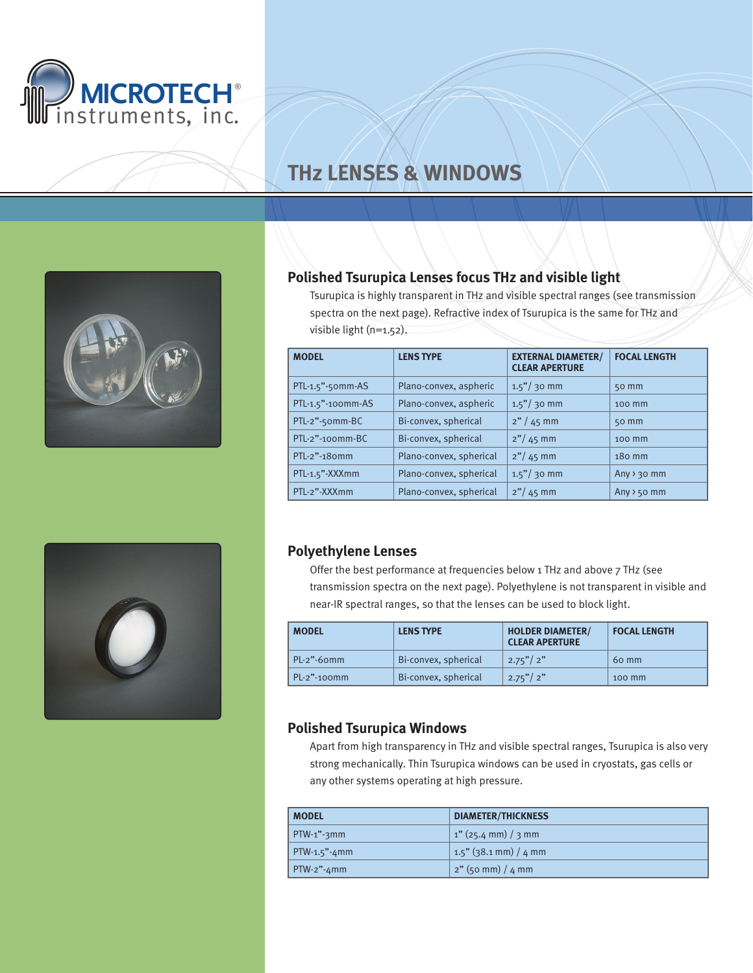

# **THz Lenses & windows**



# **Polished Tsurupica Lenses focus THz and visible light**

Tsurupica is highly transparent in THz and visible spectral ranges (see transmission spectra on the next page). Refractive index of Tsurupica is the same for THz and visible light (n=1.52).

| <b>MODEL</b>      | <b>LENS TYPE</b>        | <b>EXTERNAL DIAMETER/</b><br><b>CLEAR APERTURE</b> | <b>FOCAL LENGTH</b>     |
|-------------------|-------------------------|----------------------------------------------------|-------------------------|
| PTL-1.5"-50mm-AS  | Plano-convex, aspheric  | $1.5" / 30$ mm                                     | 50 mm                   |
| PTL-1.5"-100mm-AS | Plano-convex, aspheric  | $1.5" / 30$ mm                                     | 100 mm                  |
| PTL-2"-50mm-BC    | Bi-convex, spherical    | $2''/45$ mm                                        | $50$ mm                 |
| PTL-2"-100mm-BC   | Bi-convex, spherical    | $2''/45$ mm                                        | 100 mm                  |
| PTL-2"-180mm      | Plano-convex, spherical | $2''/45$ mm                                        | 180 mm                  |
| PTL-1.5"-XXXmm    | Plano-convex, spherical | $1.5" / 30$ mm                                     | Any $\rightarrow$ 30 mm |
| PTL-2"-XXXmm      | Plano-convex, spherical | $2''/45$ mm                                        | Any $> 50$ mm           |



### **Polyethylene Lenses**

Offer the best performance at frequencies below 1 THz and above 7 THz (see transmission spectra on the next page). Polyethylene is not transparent in visible and near-IR spectral ranges, so that the lenses can be used to block light.

| <b>MODEL</b>     | <b>LENS TYPE</b>     | <b>HOLDER DIAMETER/</b><br><b>CLEAR APERTURE</b> | <b>FOCAL LENGTH</b> |
|------------------|----------------------|--------------------------------------------------|---------------------|
| $PL-2$ "-60 $mm$ | Bi-convex, spherical | 2.75''/2''                                       | 60 mm               |
| $PL-2$ "-100mm   | Bi-convex, spherical | 2.75''/2''                                       | 100 mm              |

## **Polished Tsurupica Windows**

Apart from high transparency in THz and visible spectral ranges, Tsurupica is also very strong mechanically. Thin Tsurupica windows can be used in cryostats, gas cells or any other systems operating at high pressure.

| <b>MODEL</b>             | <b>DIAMETER/THICKNESS</b> |  |
|--------------------------|---------------------------|--|
| $\mid$ PTW-1"-3mm        | $1''$ (25.4 mm) / 3 mm    |  |
| $\mathsf{PTW-1.5}$ "-4mm | $1.5$ " (38.1 mm) / 4 mm  |  |
| $\mid$ PTW-2"-4mm        | $2"$ (50 mm) / 4 mm       |  |